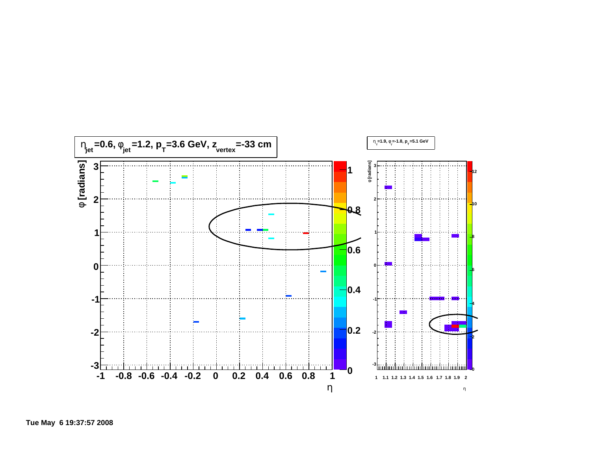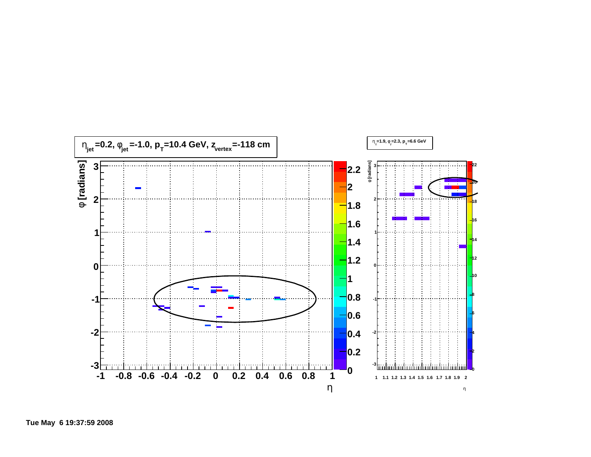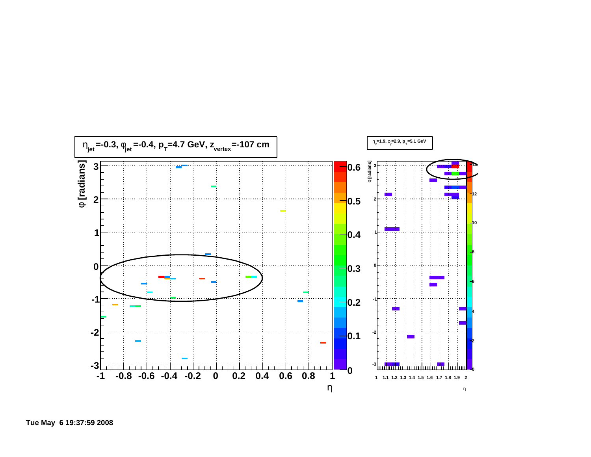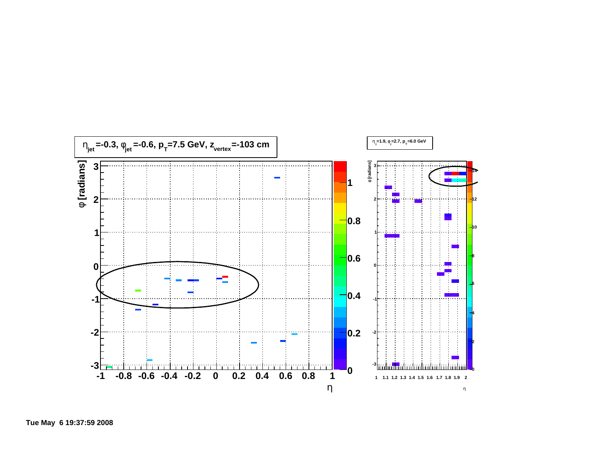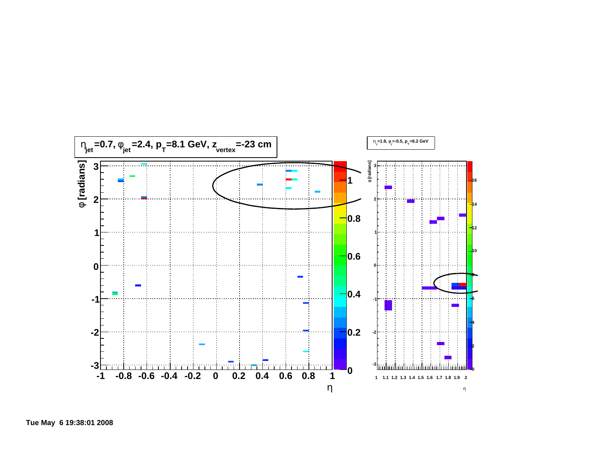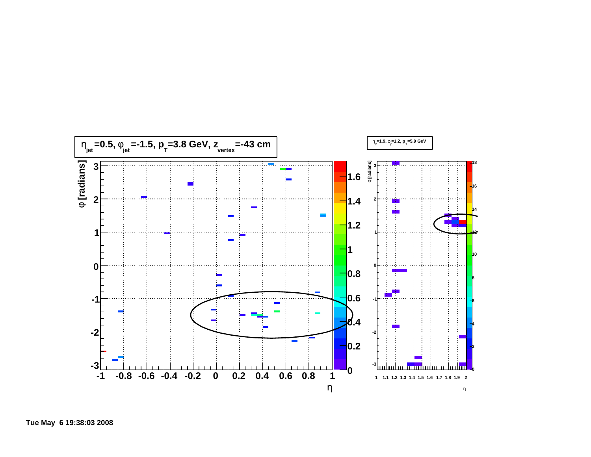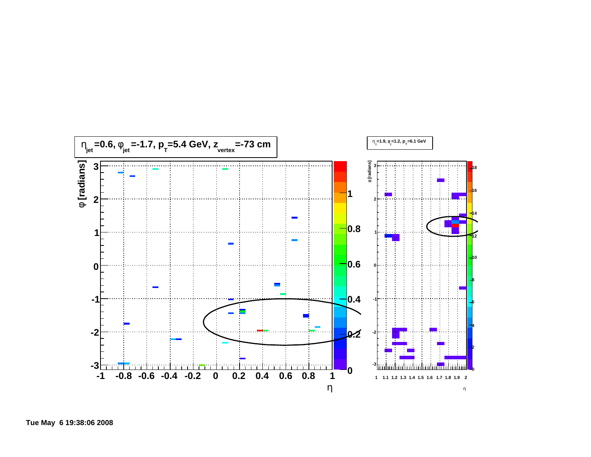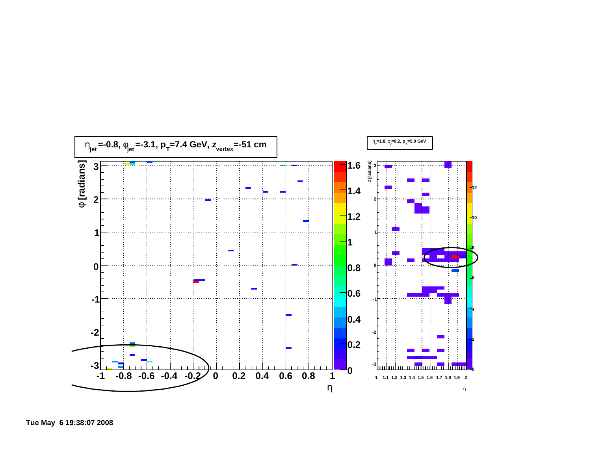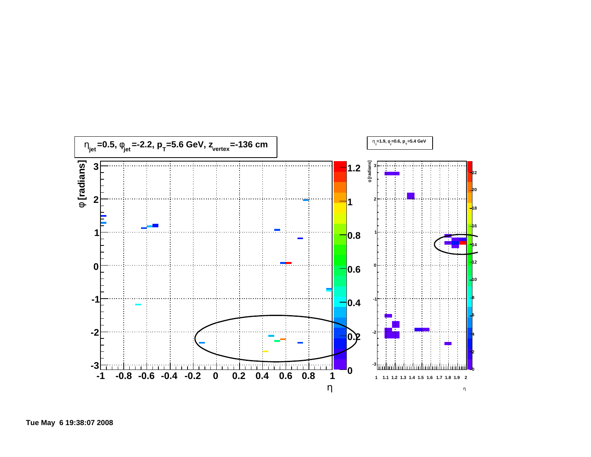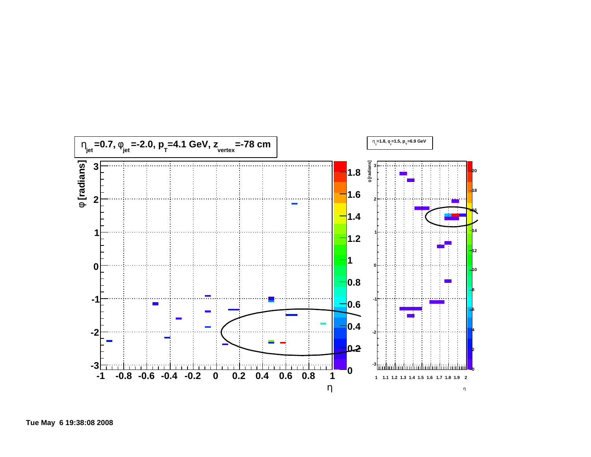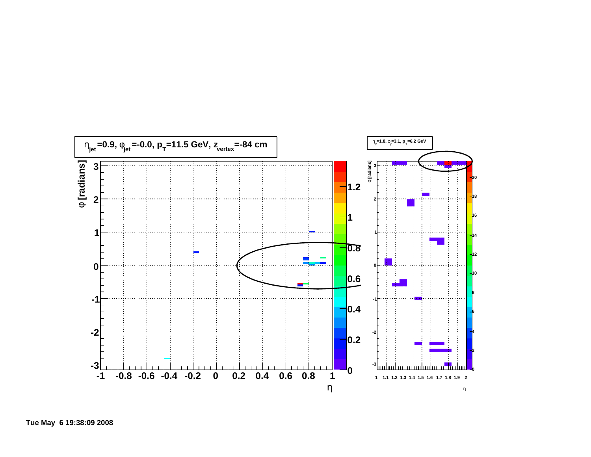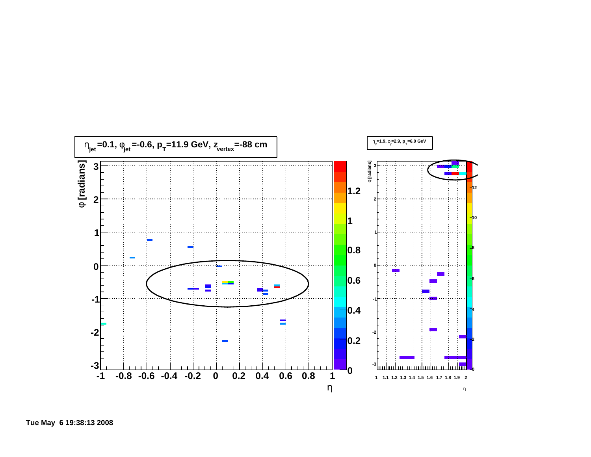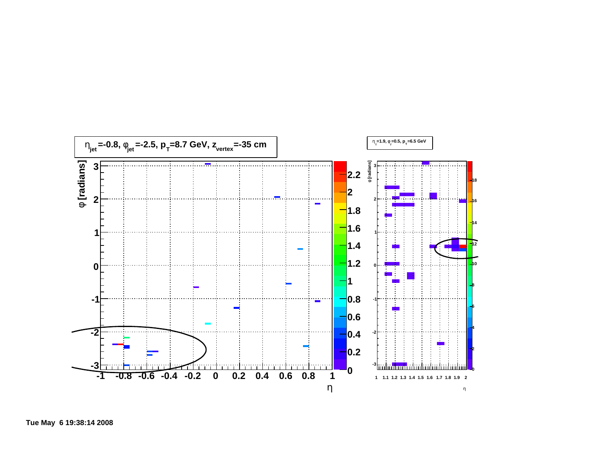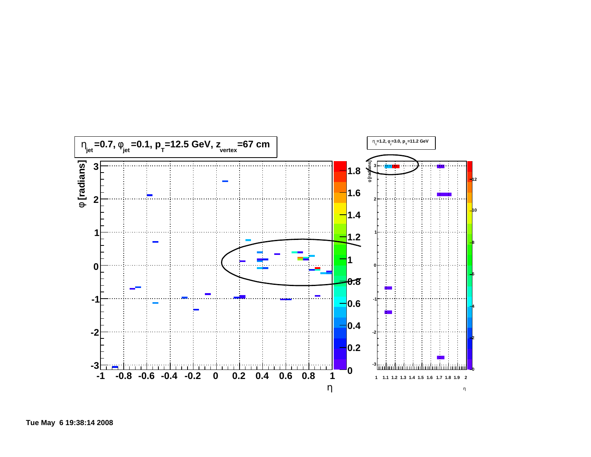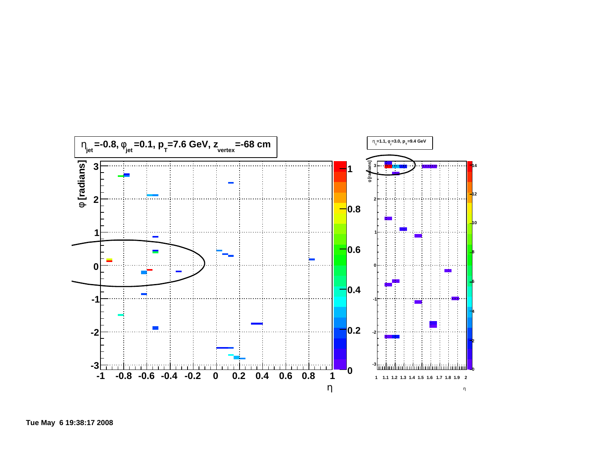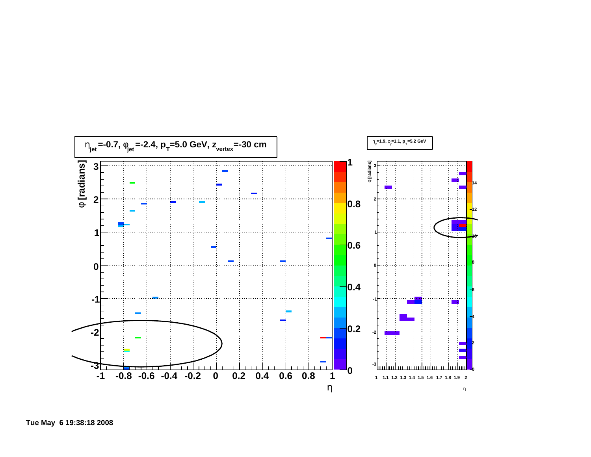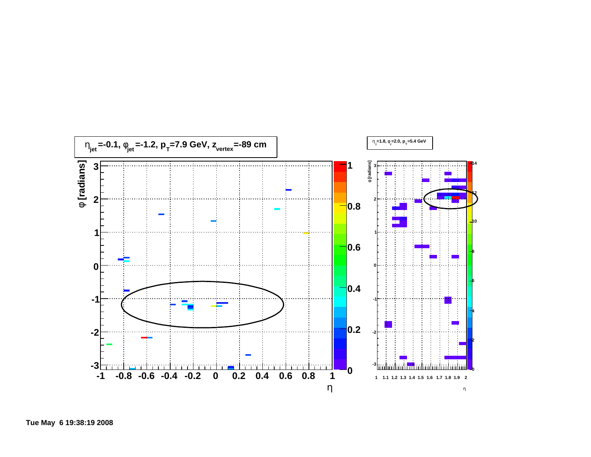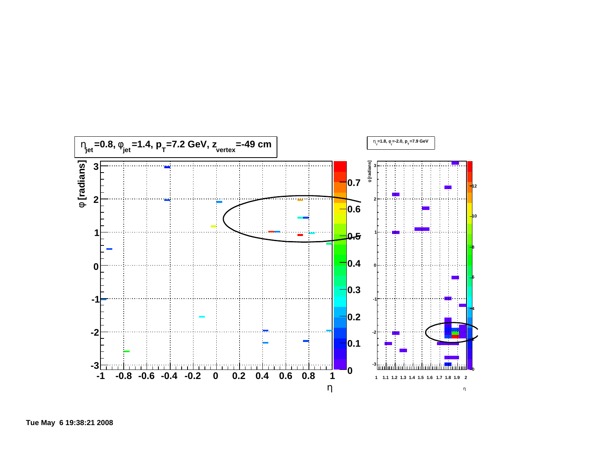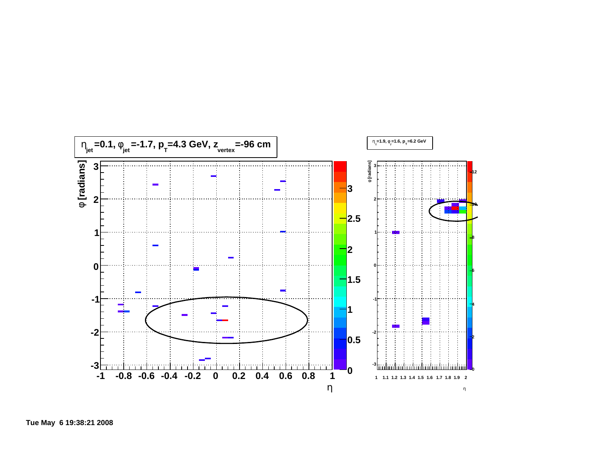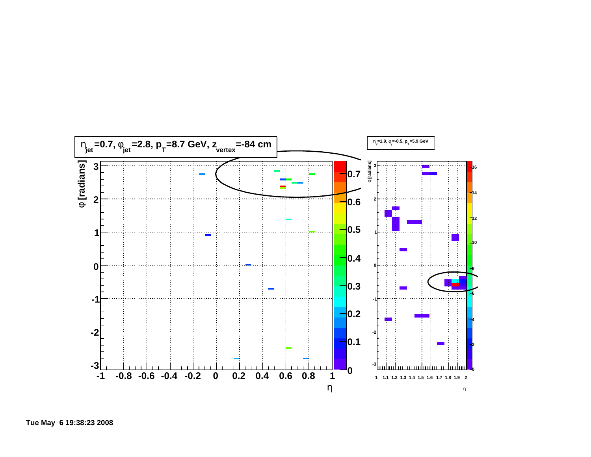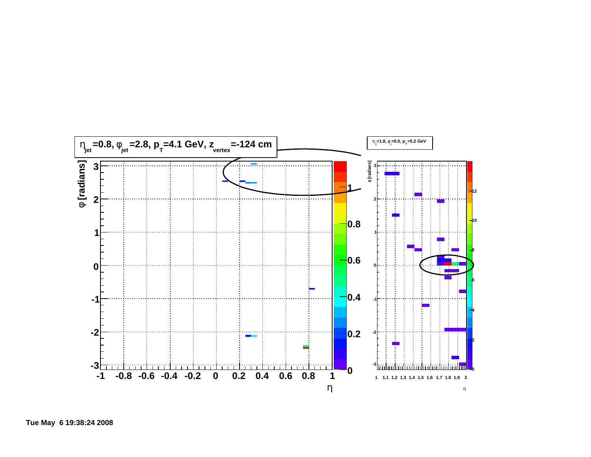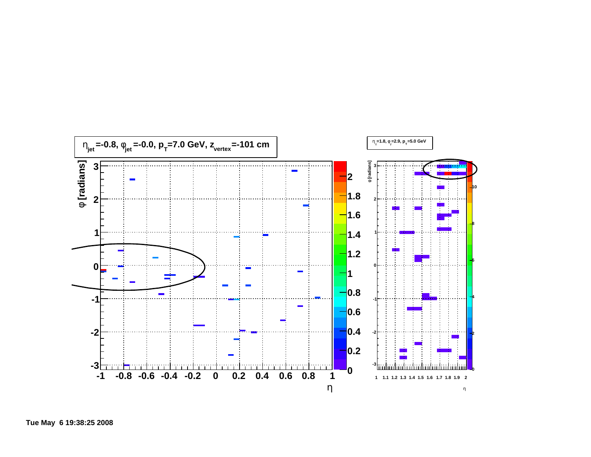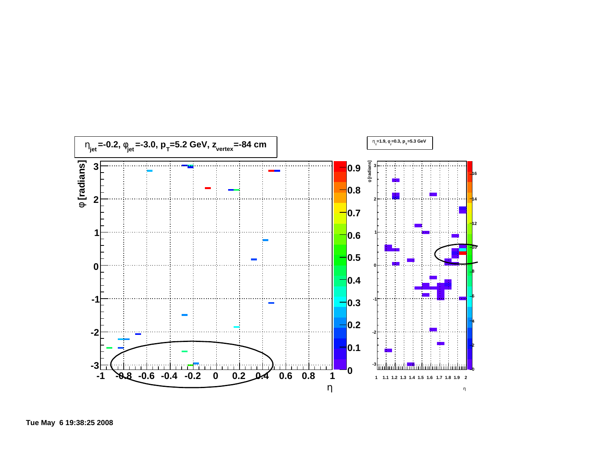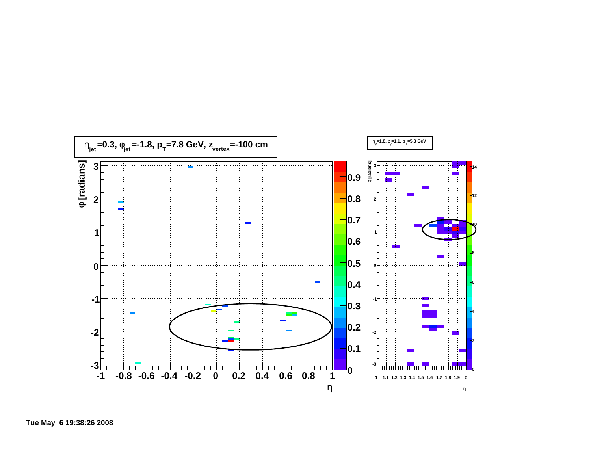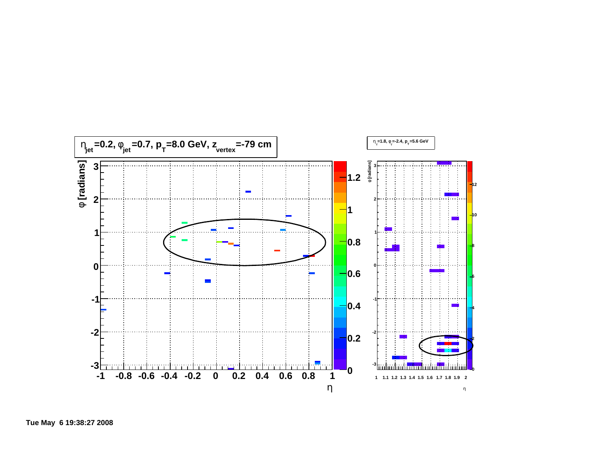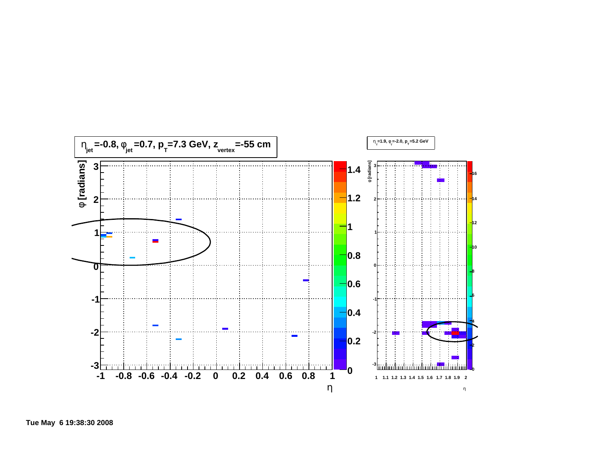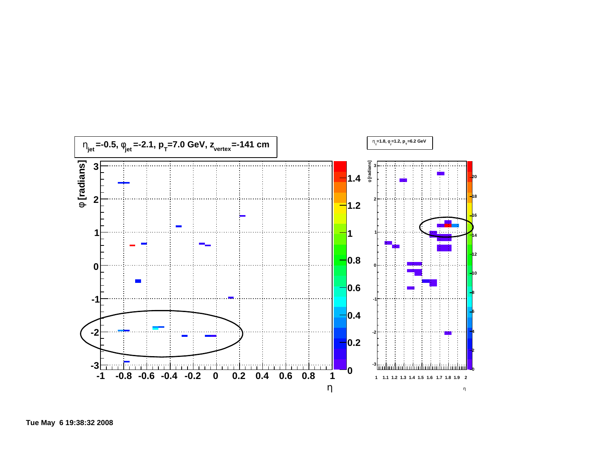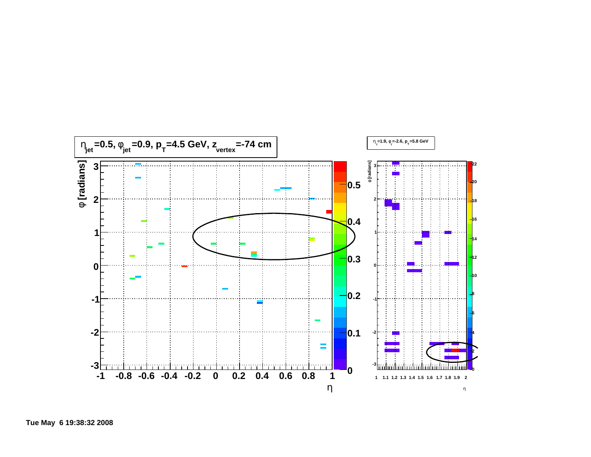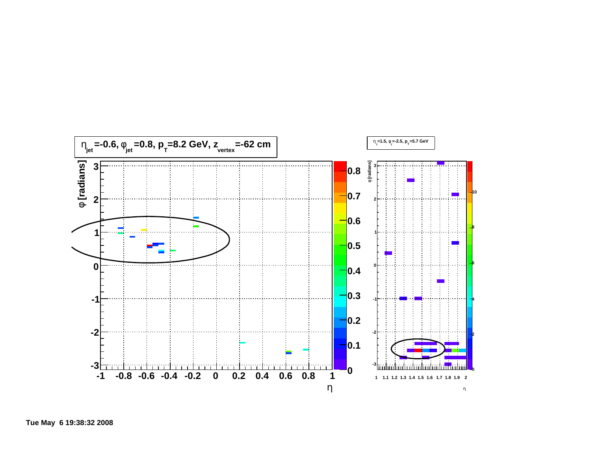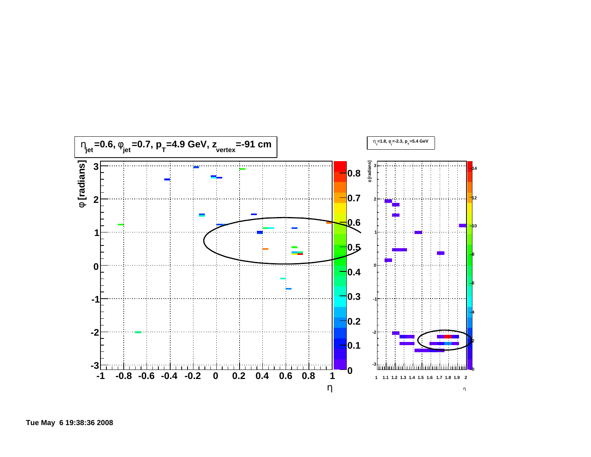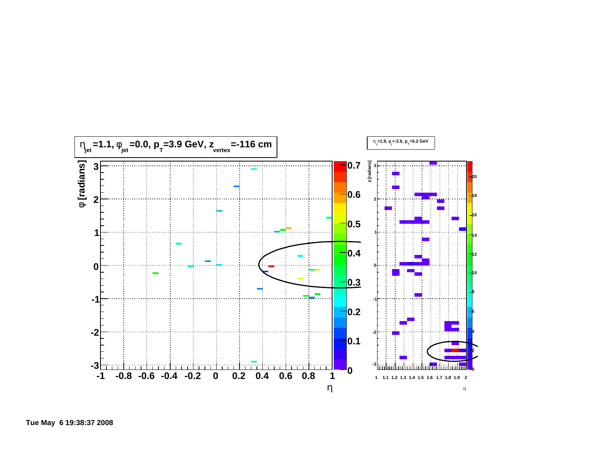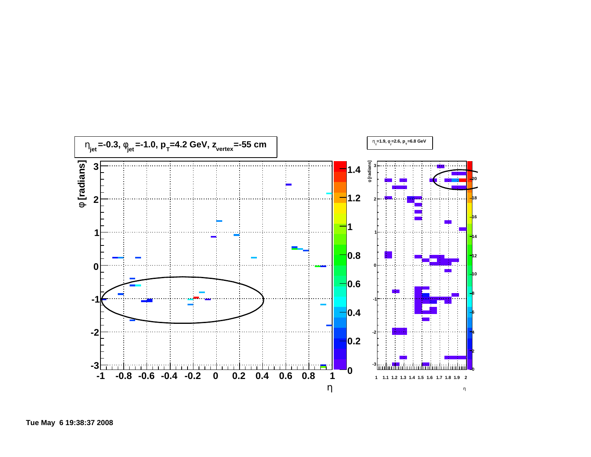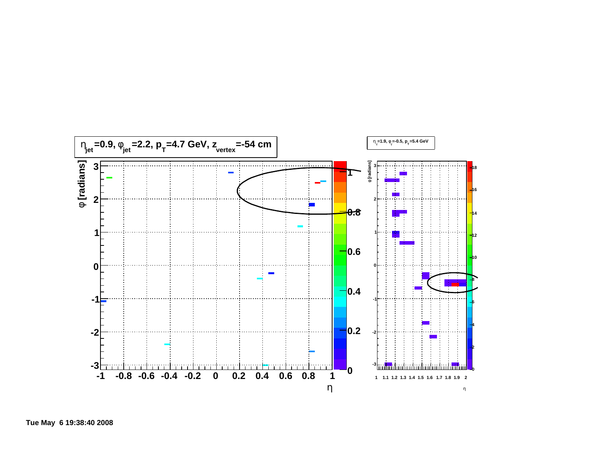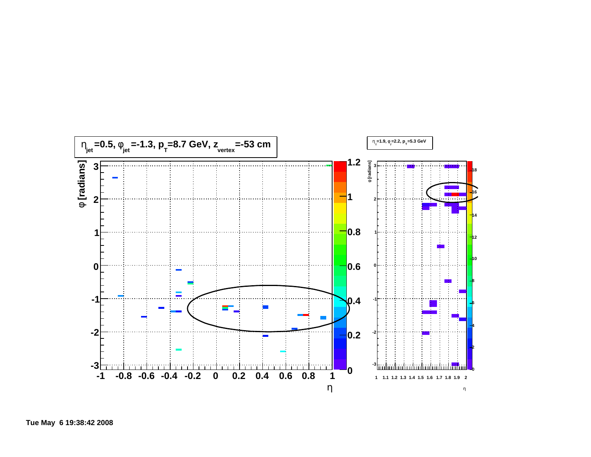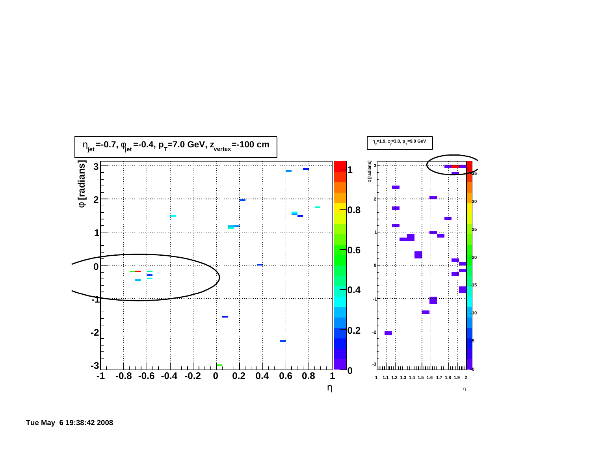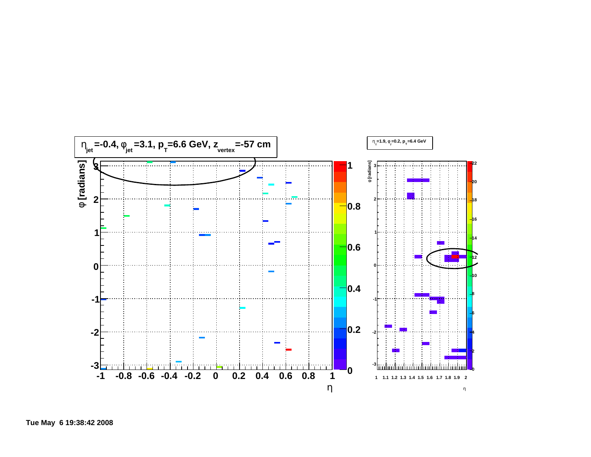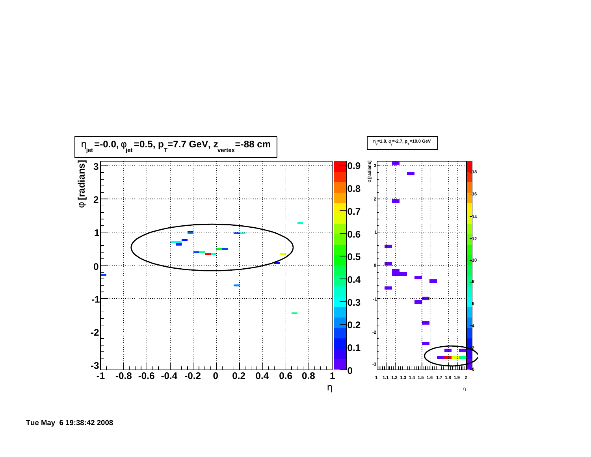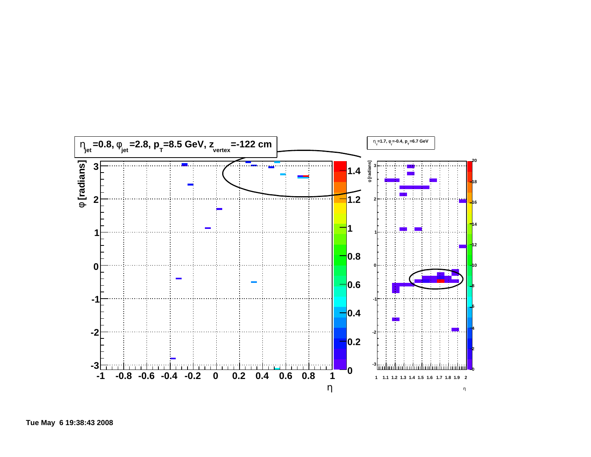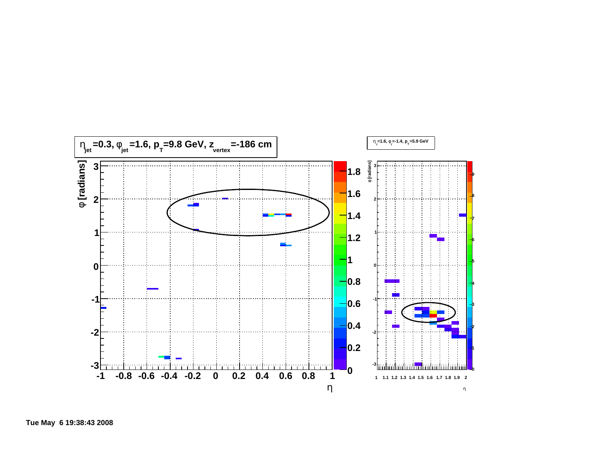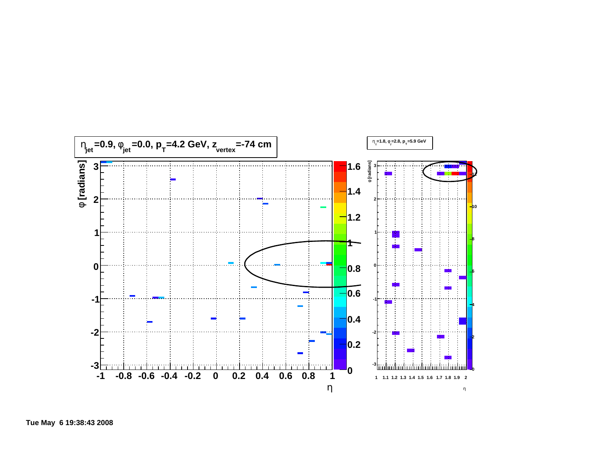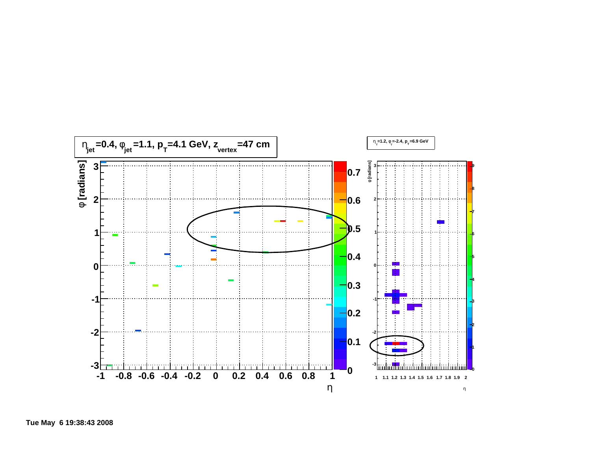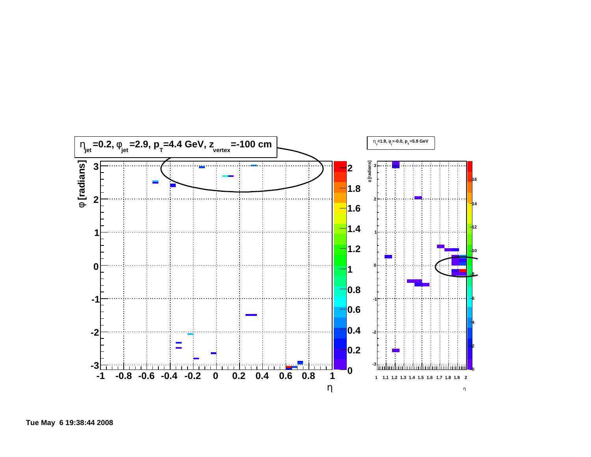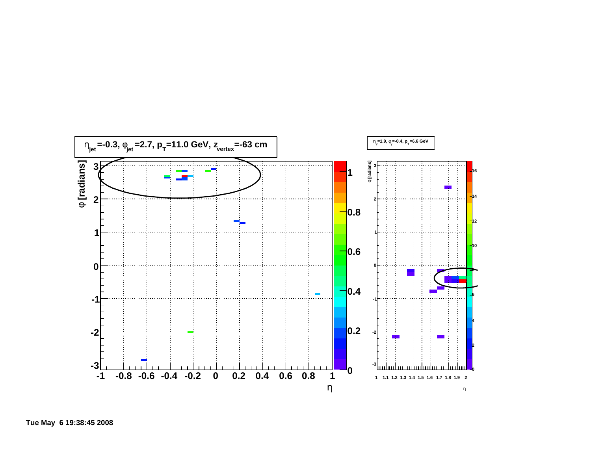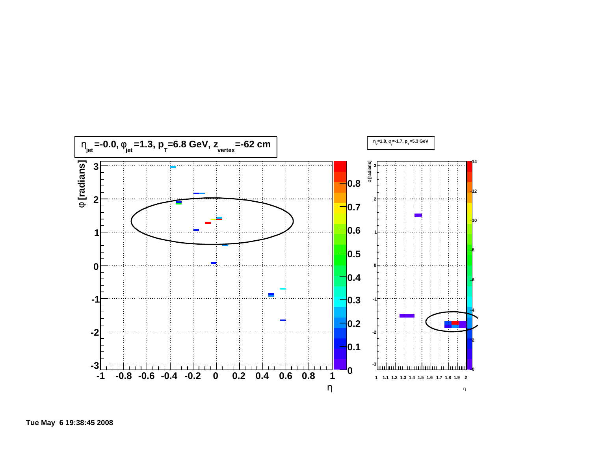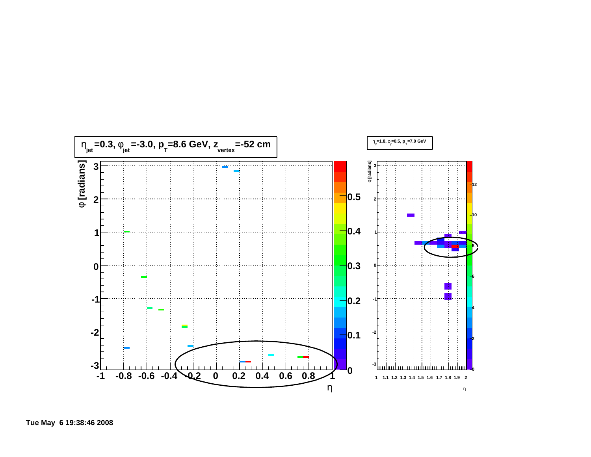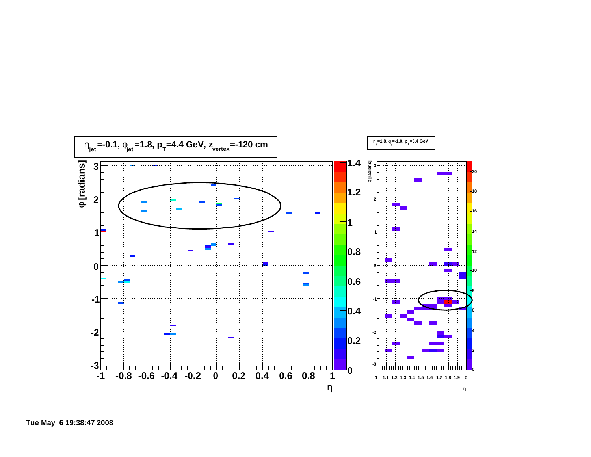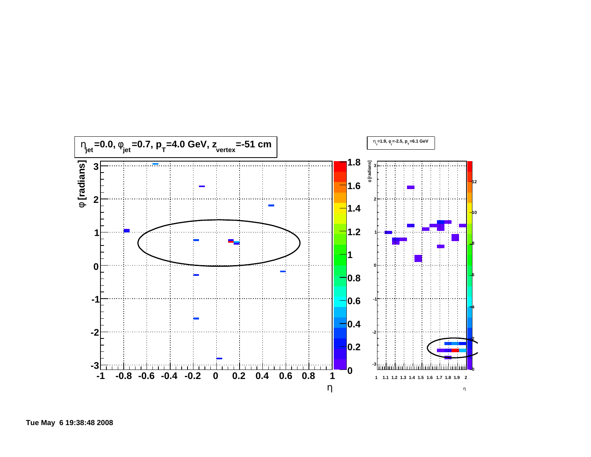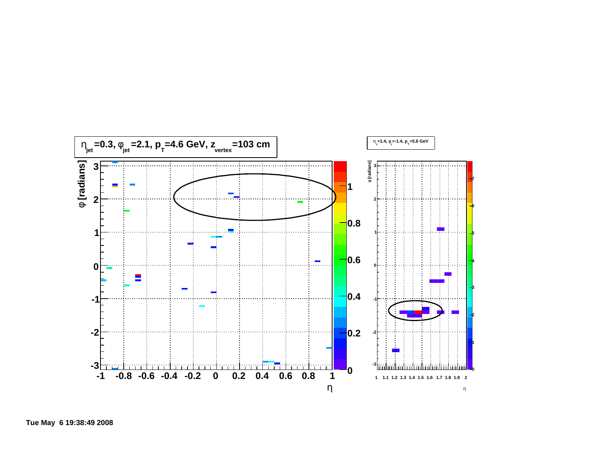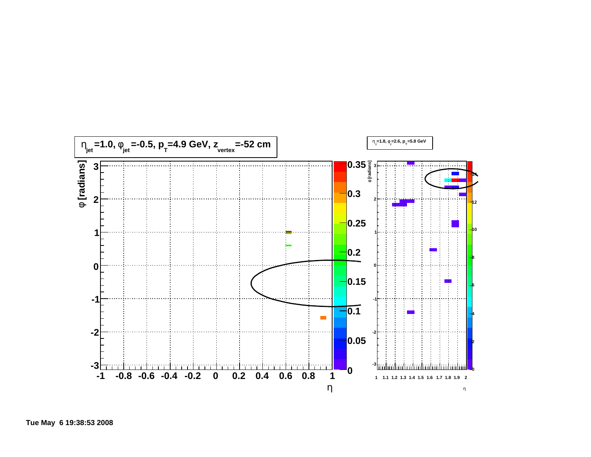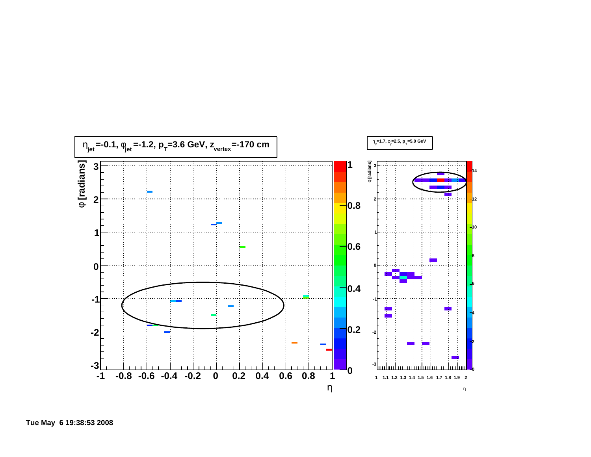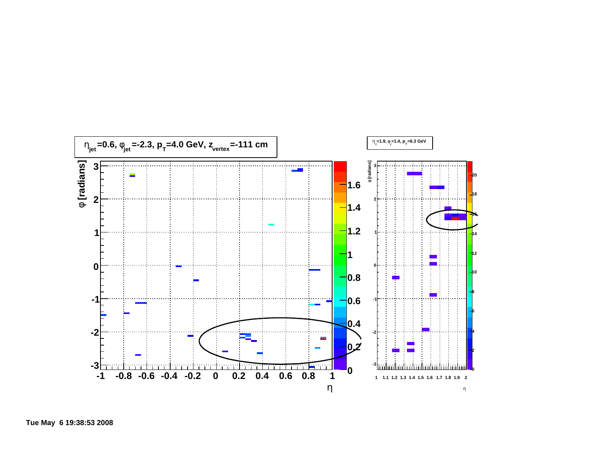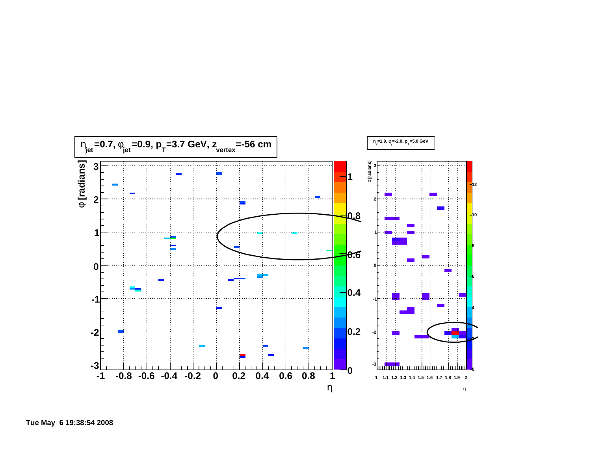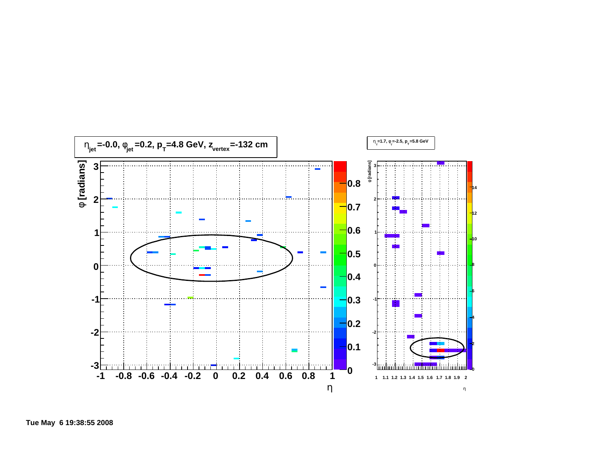